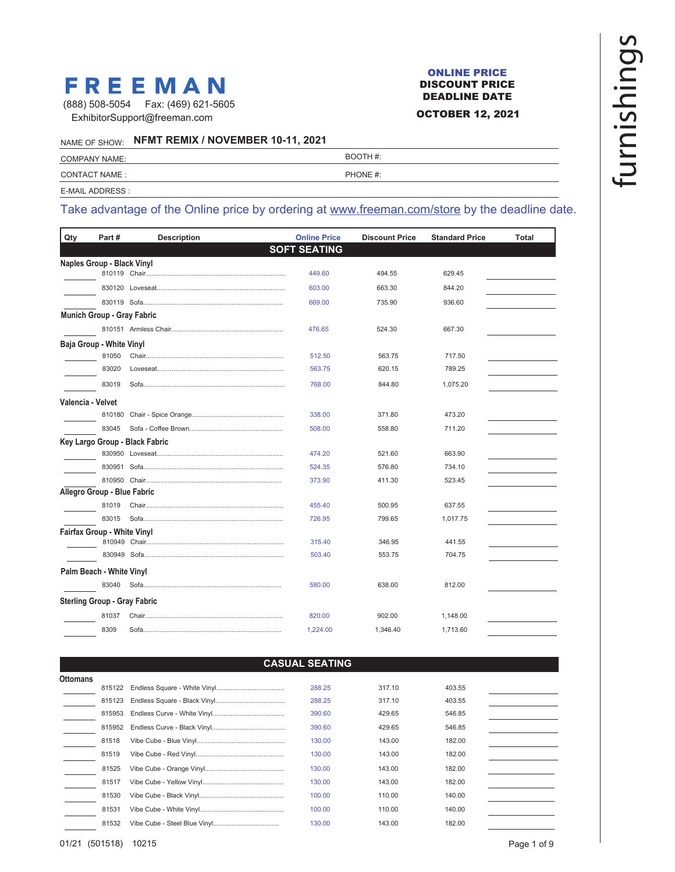# **FREEMAN**

ExhibitorSupport@freeman.com (888) 508-5054 Fax: (469) 621-5605

#### ONLINE PRICE DISCOUNT PRICE DEADLINE DATE

### OCTOBER 12, 2021

NAME OF SHOW: **NFMT REMIX / NOVEMBER 10-11, 2021**

| <b>COMPANY NAME:</b> | BOOTH #: |
|----------------------|----------|
| <b>CONTACT NAME:</b> | PHONE #: |
| E-MAIL ADDRESS :     |          |

# Take advantage of the Online price by ordering at www.freeman.com/store by the deadline date.

| Qty                                 | Part#  | <b>Description</b>             | <b>Online Price</b> | <b>Discount Price</b> | <b>Standard Price</b> | <b>Total</b> |
|-------------------------------------|--------|--------------------------------|---------------------|-----------------------|-----------------------|--------------|
|                                     |        |                                | <b>SOFT SEATING</b> |                       |                       |              |
| Naples Group - Black Vinyl          |        |                                |                     |                       |                       |              |
|                                     |        |                                | 449.60              | 494.55                | 629.45                |              |
|                                     |        |                                | 603.00              | 663.30                | 844.20                |              |
|                                     |        |                                | 669.00              | 735.90                | 936.60                |              |
| <b>Munich Group - Gray Fabric</b>   |        |                                |                     |                       |                       |              |
|                                     |        |                                | 476.65              | 524.30                | 667.30                |              |
| Baja Group - White Vinyl            |        |                                |                     |                       |                       |              |
|                                     | 81050  |                                | 512.50              | 563.75                | 717.50                |              |
|                                     | 83020  |                                | 563.75              | 620.15                | 789.25                |              |
|                                     | 83019  |                                | 768.00              | 844.80                | 1,075.20              |              |
| Valencia - Velvet                   |        |                                |                     |                       |                       |              |
|                                     | 810180 |                                | 338.00              | 371.80                | 473.20                |              |
|                                     | 83045  |                                | 508.00              | 558.80                | 711.20                |              |
|                                     |        | Key Largo Group - Black Fabric |                     |                       |                       |              |
|                                     |        |                                | 474.20              | 521.60                | 663.90                |              |
|                                     |        |                                | 524.35              | 576.80                | 734.10                |              |
|                                     |        |                                | 373.90              | 411.30                | 523.45                |              |
| Allegro Group - Blue Fabric         |        |                                |                     |                       |                       |              |
|                                     | 81019  |                                | 455.40              | 500.95                | 637.55                |              |
|                                     | 83015  |                                | 726.95              | 799.65                | 1,017.75              |              |
| <b>Fairfax Group - White Vinyl</b>  |        |                                |                     |                       |                       |              |
|                                     |        |                                | 315.40              | 346.95                | 441.55                |              |
|                                     |        |                                | 503.40              | 553.75                | 704.75                |              |
| Palm Beach - White Vinyl            |        |                                |                     |                       |                       |              |
|                                     | 83040  |                                | 580.00              | 638.00                | 812.00                |              |
| <b>Sterling Group - Gray Fabric</b> |        |                                |                     |                       |                       |              |
|                                     | 81037  |                                | 820.00              | 902.00                | 1,148.00              |              |
|                                     | 8309   |                                | 1,224.00            | 1,346.40              | 1,713.60              |              |

### **CASUAL SEATING**

| <b>Ottomans</b> |        |        |        |        |  |
|-----------------|--------|--------|--------|--------|--|
|                 | 815122 | 288.25 | 317.10 | 403.55 |  |
|                 | 815123 | 288.25 | 317.10 | 403.55 |  |
|                 | 815953 | 390.60 | 429.65 | 546.85 |  |
|                 | 815952 | 390.60 | 429.65 | 546.85 |  |
|                 | 81518  | 130.00 | 143.00 | 182.00 |  |
|                 | 81519  | 130.00 | 143.00 | 182.00 |  |
|                 | 81525  | 130.00 | 143.00 | 182.00 |  |
|                 | 81517  | 130.00 | 143.00 | 182.00 |  |
|                 | 81530  | 100.00 | 110.00 | 140.00 |  |
|                 | 81531  | 100.00 | 110.00 | 140.00 |  |
|                 | 81532  | 130.00 | 143.00 | 182.00 |  |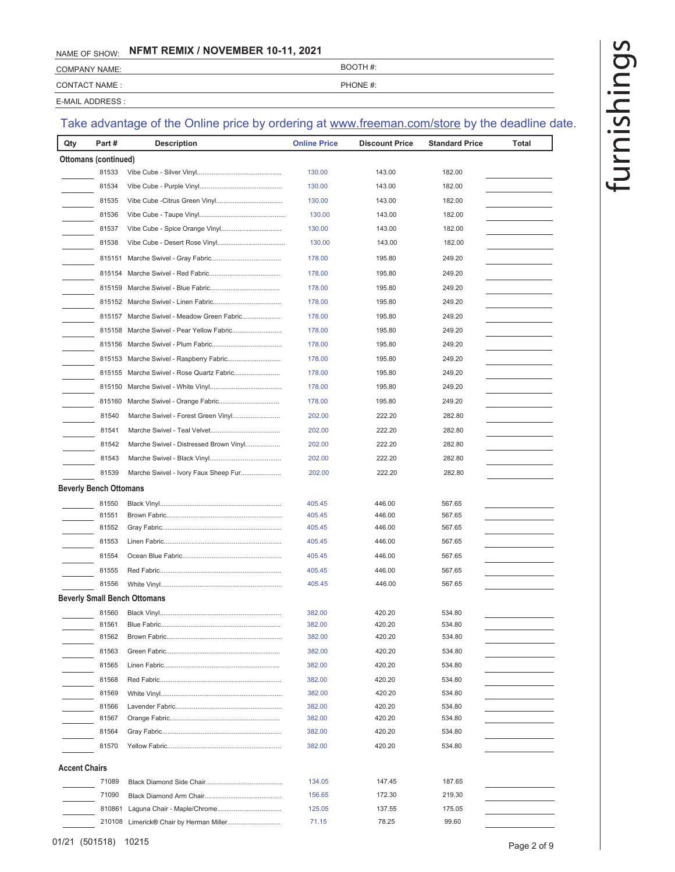CONTACT NAME : PHONE #: COMPANY NAME: BOOTH #:

E-MAIL ADDRESS :

| Qty                           | Part#                | <b>Description</b>                     | <b>Online Price</b> | <b>Discount Price</b> | <b>Standard Price</b> | Total |
|-------------------------------|----------------------|----------------------------------------|---------------------|-----------------------|-----------------------|-------|
|                               | Ottomans (continued) |                                        |                     |                       |                       |       |
|                               | 81533                |                                        | 130.00              | 143.00                | 182.00                |       |
|                               | 81534                |                                        | 130.00              | 143.00                | 182.00                |       |
|                               | 81535                |                                        | 130.00              | 143.00                | 182.00                |       |
|                               | 81536                |                                        | 130.00              | 143.00                | 182.00                |       |
|                               | 81537                |                                        | 130.00              | 143.00                | 182.00                |       |
|                               | 81538                |                                        | 130.00              | 143.00                | 182.00                |       |
|                               | 815151               |                                        | 178.00              | 195.80                | 249.20                |       |
|                               | 815154               |                                        | 178.00              | 195.80                | 249.20                |       |
|                               | 815159               |                                        | 178.00              | 195.80                | 249.20                |       |
|                               |                      |                                        | 178.00              | 195.80                | 249.20                |       |
|                               | 815157               | Marche Swivel - Meadow Green Fabric    | 178.00              | 195.80                | 249.20                |       |
|                               | 815158               | Marche Swivel - Pear Yellow Fabric     | 178.00              | 195.80                | 249.20                |       |
|                               | 815156               |                                        | 178.00              | 195.80                | 249.20                |       |
|                               | 815153               | Marche Swivel - Raspberry Fabric       | 178.00              | 195.80                | 249.20                |       |
|                               | 815155               | Marche Swivel - Rose Quartz Fabric     | 178.00              | 195.80                | 249.20                |       |
|                               | 815150               |                                        | 178.00              | 195.80                | 249.20                |       |
|                               | 815160               |                                        | 178.00              | 195.80                | 249.20                |       |
|                               | 81540                | Marche Swivel - Forest Green Vinyl     | 202.00              | 222.20                | 282.80                |       |
|                               | 81541                |                                        | 202.00              | 222.20                | 282.80                |       |
|                               | 81542                | Marche Swivel - Distressed Brown Vinyl | 202.00              | 222.20                | 282.80                |       |
|                               | 81543                |                                        |                     | 222.20                | 282.80                |       |
|                               |                      |                                        | 202.00              |                       |                       |       |
|                               | 81539                | Marche Swivel - Ivory Faux Sheep Fur   | 202.00              | 222.20                | 282.80                |       |
| <b>Beverly Bench Ottomans</b> |                      |                                        |                     |                       |                       |       |
|                               | 81550                |                                        | 405.45              | 446.00                | 567.65                |       |
|                               | 81551<br>81552       |                                        | 405.45<br>405.45    | 446.00<br>446.00      | 567.65<br>567.65      |       |
|                               | 81553                |                                        | 405.45              | 446.00                | 567.65                |       |
|                               | 81554                |                                        | 405.45              | 446.00                | 567.65                |       |
|                               | 81555                |                                        | 405.45              | 446.00                | 567.65                |       |
|                               | 81556                |                                        | 405.45              | 446.00                | 567.65                |       |
|                               |                      | Beverly Small Bench Ottomans           |                     |                       |                       |       |
|                               |                      |                                        |                     |                       |                       |       |
|                               | 81560                | Blue Fabric                            | 382.00<br>382.00    | 420.20<br>420.20      | 534.80<br>534.80      |       |
|                               | 81562                |                                        | 382.00              | 420.20                | 534.80                |       |
|                               | 81563                |                                        | 382.00              | 420.20                | 534.80                |       |
|                               | 81565                |                                        | 382.00              | 420.20                | 534.80                |       |
|                               | 81568                |                                        | 382.00              | 420.20                | 534.80                |       |
|                               | 81569                |                                        | 382.00              | 420.20                | 534.80                |       |
|                               | 81566                |                                        | 382.00              | 420.20                | 534.80                |       |
|                               | 81567                |                                        | 382.00              | 420.20                | 534.80                |       |
|                               | 81564                |                                        | 382.00              | 420.20                | 534.80                |       |
|                               | 81570                |                                        | 382.00              | 420.20                | 534.80                |       |
| <b>Accent Chairs</b>          |                      |                                        |                     |                       |                       |       |
|                               | 71089                |                                        | 134.05              | 147.45                | 187.65                |       |
|                               | 71090                |                                        | 156.65              | 172.30                | 219.30                |       |
|                               | 810861               |                                        | 125.05              | 137.55                | 175.05                |       |
|                               |                      |                                        | 71.15               | 78.25                 | 99.60                 |       |
|                               |                      |                                        |                     |                       |                       |       |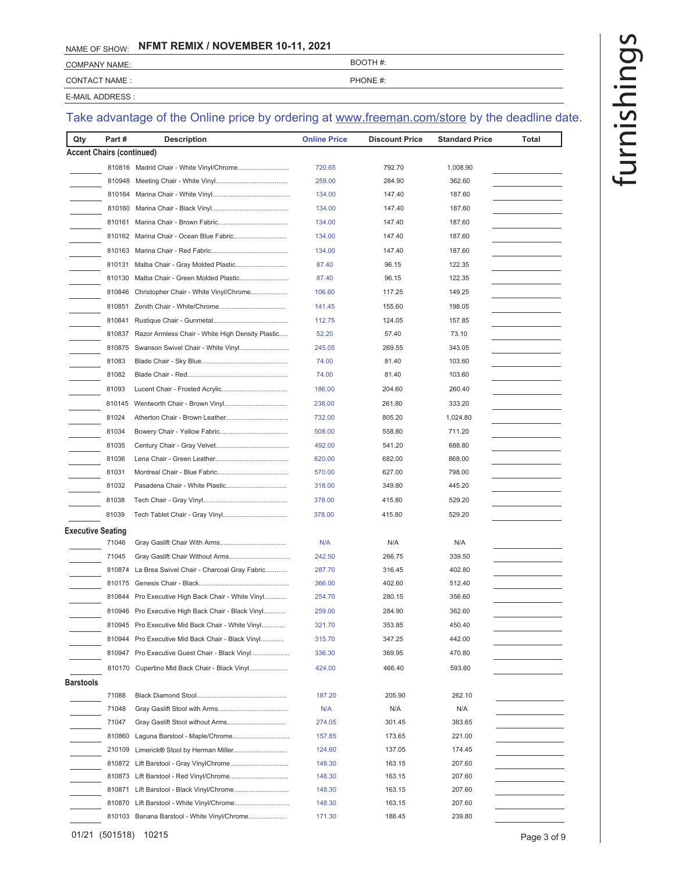| <b>COMPANY NAME:</b> | BOOTH#:  |
|----------------------|----------|
| CONTACT NAME:        | PHONE #: |

E-MAIL ADDRESS :

| <b>Accent Chairs (continued)</b><br>720.65<br>792.70<br>1,008.90<br>259.00<br>362.60<br>810948<br>284.90<br>810164<br>134.00<br>147.40<br>187.60<br>134.00<br>147.40<br>187.60<br>147.40<br>187.60<br>810161<br>134.00<br>810162 Marina Chair - Ocean Blue Fabric<br>187.60<br>134.00<br>147.40<br>134.00<br>147.40<br>187.60<br>810131<br>87.40<br>96.15<br>122.35<br>810130<br>Malba Chair - Green Molded Plastic<br>96.15<br>122.35<br>87.40<br>810846<br>Christopher Chair - White Vinyl/Chrome<br>149.25<br>106.60<br>117.25<br>198.05<br>810851<br>141.45<br>155.60<br>810841<br>112.75<br>124.05<br>157.85<br>810837<br>Razor Armless Chair - White High Density Plastic<br>57.40<br>73.10<br>52.20<br>269.55<br>343.05<br>810875<br>245.05<br>81083<br>103.60<br>74.00<br>81.40<br>81082<br>74.00<br>81.40<br>103.60<br>81093<br>186.00<br>260.40<br>204.60<br>810145<br>238.00<br>261.80<br>333.20<br>81024<br>732.00<br>805.20<br>1,024.80<br>81034<br>508.00<br>558.80<br>711.20<br>81035<br>492.00<br>541.20<br>688.80<br>81036<br>682.00<br>868.00<br>620.00<br>81031<br>570.00<br>627.00<br>798.00<br>81032<br>349.80<br>318.00<br>445.20<br>81038<br>378.00<br>415.80<br>529.20<br>81039<br>378.00<br>415.80<br>529.20<br>Executive Seating<br>71046<br>N/A<br>N/A<br>N/A<br>71045<br>242.50<br>266.75<br>339.50<br>810874<br>La Brea Swivel Chair - Charcoal Gray Fabric<br>287.70<br>316.45<br>402.80<br>366.00<br>402.60<br>512.40<br>810175<br>Pro Executive High Back Chair - White Vinyl<br>356.60<br>810844<br>254.70<br>280.15<br>810946 Pro Executive High Back Chair - Black Vinyl<br>259.00<br>284.90<br>362.60<br>Pro Executive Mid Back Chair - White Vinyl<br>810945<br>321.70<br>353.85<br>450.40<br>442.00<br>810944 Pro Executive Mid Back Chair - Black Vinyl<br>315.70<br>347.25<br>470.80<br>810947 Pro Executive Guest Chair - Black Vinyl<br>336.30<br>369.95<br>Cupertino Mid Back Chair - Black Vinyl<br>424.00<br>466.40<br>593.60<br>810170<br>Barstools<br>71088<br>187.20<br>205.90<br>262.10<br>71048<br>N/A<br>N/A<br>N/A<br>71047<br>301.45<br>383.65<br>274.05<br>810860<br>Laguna Barstool - Maple/Chrome<br>157.85<br>221.00<br>173.65<br>210109<br>Limerick® Stool by Herman Miller<br>124.60<br>137.05<br>174.45<br>148.30<br>163.15<br>207.60<br>148.30<br>163.15<br>207.60<br>810871<br>Lift Barstool - Black Vinyl/Chrome<br>207.60<br>148.30<br>163.15<br>810870<br>148.30<br>163.15<br>207.60<br>810103 Banana Barstool - White Vinyl/Chrome<br>188.45<br>239.80<br>171.30 | Qty | Part# | <b>Description</b> | <b>Online Price</b> | <b>Discount Price</b> | <b>Standard Price</b> | Total |
|------------------------------------------------------------------------------------------------------------------------------------------------------------------------------------------------------------------------------------------------------------------------------------------------------------------------------------------------------------------------------------------------------------------------------------------------------------------------------------------------------------------------------------------------------------------------------------------------------------------------------------------------------------------------------------------------------------------------------------------------------------------------------------------------------------------------------------------------------------------------------------------------------------------------------------------------------------------------------------------------------------------------------------------------------------------------------------------------------------------------------------------------------------------------------------------------------------------------------------------------------------------------------------------------------------------------------------------------------------------------------------------------------------------------------------------------------------------------------------------------------------------------------------------------------------------------------------------------------------------------------------------------------------------------------------------------------------------------------------------------------------------------------------------------------------------------------------------------------------------------------------------------------------------------------------------------------------------------------------------------------------------------------------------------------------------------------------------------------------------------------------------------------------------------------------------------------------------------------------------------------------------------------------------------------------------------------------------------------------------------------------------------------------------------------------------------------------------------------------------------------------------------------------|-----|-------|--------------------|---------------------|-----------------------|-----------------------|-------|
|                                                                                                                                                                                                                                                                                                                                                                                                                                                                                                                                                                                                                                                                                                                                                                                                                                                                                                                                                                                                                                                                                                                                                                                                                                                                                                                                                                                                                                                                                                                                                                                                                                                                                                                                                                                                                                                                                                                                                                                                                                                                                                                                                                                                                                                                                                                                                                                                                                                                                                                                    |     |       |                    |                     |                       |                       |       |
|                                                                                                                                                                                                                                                                                                                                                                                                                                                                                                                                                                                                                                                                                                                                                                                                                                                                                                                                                                                                                                                                                                                                                                                                                                                                                                                                                                                                                                                                                                                                                                                                                                                                                                                                                                                                                                                                                                                                                                                                                                                                                                                                                                                                                                                                                                                                                                                                                                                                                                                                    |     |       |                    |                     |                       |                       |       |
|                                                                                                                                                                                                                                                                                                                                                                                                                                                                                                                                                                                                                                                                                                                                                                                                                                                                                                                                                                                                                                                                                                                                                                                                                                                                                                                                                                                                                                                                                                                                                                                                                                                                                                                                                                                                                                                                                                                                                                                                                                                                                                                                                                                                                                                                                                                                                                                                                                                                                                                                    |     |       |                    |                     |                       |                       |       |
|                                                                                                                                                                                                                                                                                                                                                                                                                                                                                                                                                                                                                                                                                                                                                                                                                                                                                                                                                                                                                                                                                                                                                                                                                                                                                                                                                                                                                                                                                                                                                                                                                                                                                                                                                                                                                                                                                                                                                                                                                                                                                                                                                                                                                                                                                                                                                                                                                                                                                                                                    |     |       |                    |                     |                       |                       |       |
|                                                                                                                                                                                                                                                                                                                                                                                                                                                                                                                                                                                                                                                                                                                                                                                                                                                                                                                                                                                                                                                                                                                                                                                                                                                                                                                                                                                                                                                                                                                                                                                                                                                                                                                                                                                                                                                                                                                                                                                                                                                                                                                                                                                                                                                                                                                                                                                                                                                                                                                                    |     |       |                    |                     |                       |                       |       |
|                                                                                                                                                                                                                                                                                                                                                                                                                                                                                                                                                                                                                                                                                                                                                                                                                                                                                                                                                                                                                                                                                                                                                                                                                                                                                                                                                                                                                                                                                                                                                                                                                                                                                                                                                                                                                                                                                                                                                                                                                                                                                                                                                                                                                                                                                                                                                                                                                                                                                                                                    |     |       |                    |                     |                       |                       |       |
|                                                                                                                                                                                                                                                                                                                                                                                                                                                                                                                                                                                                                                                                                                                                                                                                                                                                                                                                                                                                                                                                                                                                                                                                                                                                                                                                                                                                                                                                                                                                                                                                                                                                                                                                                                                                                                                                                                                                                                                                                                                                                                                                                                                                                                                                                                                                                                                                                                                                                                                                    |     |       |                    |                     |                       |                       |       |
|                                                                                                                                                                                                                                                                                                                                                                                                                                                                                                                                                                                                                                                                                                                                                                                                                                                                                                                                                                                                                                                                                                                                                                                                                                                                                                                                                                                                                                                                                                                                                                                                                                                                                                                                                                                                                                                                                                                                                                                                                                                                                                                                                                                                                                                                                                                                                                                                                                                                                                                                    |     |       |                    |                     |                       |                       |       |
|                                                                                                                                                                                                                                                                                                                                                                                                                                                                                                                                                                                                                                                                                                                                                                                                                                                                                                                                                                                                                                                                                                                                                                                                                                                                                                                                                                                                                                                                                                                                                                                                                                                                                                                                                                                                                                                                                                                                                                                                                                                                                                                                                                                                                                                                                                                                                                                                                                                                                                                                    |     |       |                    |                     |                       |                       |       |
|                                                                                                                                                                                                                                                                                                                                                                                                                                                                                                                                                                                                                                                                                                                                                                                                                                                                                                                                                                                                                                                                                                                                                                                                                                                                                                                                                                                                                                                                                                                                                                                                                                                                                                                                                                                                                                                                                                                                                                                                                                                                                                                                                                                                                                                                                                                                                                                                                                                                                                                                    |     |       |                    |                     |                       |                       |       |
|                                                                                                                                                                                                                                                                                                                                                                                                                                                                                                                                                                                                                                                                                                                                                                                                                                                                                                                                                                                                                                                                                                                                                                                                                                                                                                                                                                                                                                                                                                                                                                                                                                                                                                                                                                                                                                                                                                                                                                                                                                                                                                                                                                                                                                                                                                                                                                                                                                                                                                                                    |     |       |                    |                     |                       |                       |       |
|                                                                                                                                                                                                                                                                                                                                                                                                                                                                                                                                                                                                                                                                                                                                                                                                                                                                                                                                                                                                                                                                                                                                                                                                                                                                                                                                                                                                                                                                                                                                                                                                                                                                                                                                                                                                                                                                                                                                                                                                                                                                                                                                                                                                                                                                                                                                                                                                                                                                                                                                    |     |       |                    |                     |                       |                       |       |
|                                                                                                                                                                                                                                                                                                                                                                                                                                                                                                                                                                                                                                                                                                                                                                                                                                                                                                                                                                                                                                                                                                                                                                                                                                                                                                                                                                                                                                                                                                                                                                                                                                                                                                                                                                                                                                                                                                                                                                                                                                                                                                                                                                                                                                                                                                                                                                                                                                                                                                                                    |     |       |                    |                     |                       |                       |       |
|                                                                                                                                                                                                                                                                                                                                                                                                                                                                                                                                                                                                                                                                                                                                                                                                                                                                                                                                                                                                                                                                                                                                                                                                                                                                                                                                                                                                                                                                                                                                                                                                                                                                                                                                                                                                                                                                                                                                                                                                                                                                                                                                                                                                                                                                                                                                                                                                                                                                                                                                    |     |       |                    |                     |                       |                       |       |
|                                                                                                                                                                                                                                                                                                                                                                                                                                                                                                                                                                                                                                                                                                                                                                                                                                                                                                                                                                                                                                                                                                                                                                                                                                                                                                                                                                                                                                                                                                                                                                                                                                                                                                                                                                                                                                                                                                                                                                                                                                                                                                                                                                                                                                                                                                                                                                                                                                                                                                                                    |     |       |                    |                     |                       |                       |       |
|                                                                                                                                                                                                                                                                                                                                                                                                                                                                                                                                                                                                                                                                                                                                                                                                                                                                                                                                                                                                                                                                                                                                                                                                                                                                                                                                                                                                                                                                                                                                                                                                                                                                                                                                                                                                                                                                                                                                                                                                                                                                                                                                                                                                                                                                                                                                                                                                                                                                                                                                    |     |       |                    |                     |                       |                       |       |
|                                                                                                                                                                                                                                                                                                                                                                                                                                                                                                                                                                                                                                                                                                                                                                                                                                                                                                                                                                                                                                                                                                                                                                                                                                                                                                                                                                                                                                                                                                                                                                                                                                                                                                                                                                                                                                                                                                                                                                                                                                                                                                                                                                                                                                                                                                                                                                                                                                                                                                                                    |     |       |                    |                     |                       |                       |       |
|                                                                                                                                                                                                                                                                                                                                                                                                                                                                                                                                                                                                                                                                                                                                                                                                                                                                                                                                                                                                                                                                                                                                                                                                                                                                                                                                                                                                                                                                                                                                                                                                                                                                                                                                                                                                                                                                                                                                                                                                                                                                                                                                                                                                                                                                                                                                                                                                                                                                                                                                    |     |       |                    |                     |                       |                       |       |
|                                                                                                                                                                                                                                                                                                                                                                                                                                                                                                                                                                                                                                                                                                                                                                                                                                                                                                                                                                                                                                                                                                                                                                                                                                                                                                                                                                                                                                                                                                                                                                                                                                                                                                                                                                                                                                                                                                                                                                                                                                                                                                                                                                                                                                                                                                                                                                                                                                                                                                                                    |     |       |                    |                     |                       |                       |       |
|                                                                                                                                                                                                                                                                                                                                                                                                                                                                                                                                                                                                                                                                                                                                                                                                                                                                                                                                                                                                                                                                                                                                                                                                                                                                                                                                                                                                                                                                                                                                                                                                                                                                                                                                                                                                                                                                                                                                                                                                                                                                                                                                                                                                                                                                                                                                                                                                                                                                                                                                    |     |       |                    |                     |                       |                       |       |
|                                                                                                                                                                                                                                                                                                                                                                                                                                                                                                                                                                                                                                                                                                                                                                                                                                                                                                                                                                                                                                                                                                                                                                                                                                                                                                                                                                                                                                                                                                                                                                                                                                                                                                                                                                                                                                                                                                                                                                                                                                                                                                                                                                                                                                                                                                                                                                                                                                                                                                                                    |     |       |                    |                     |                       |                       |       |
|                                                                                                                                                                                                                                                                                                                                                                                                                                                                                                                                                                                                                                                                                                                                                                                                                                                                                                                                                                                                                                                                                                                                                                                                                                                                                                                                                                                                                                                                                                                                                                                                                                                                                                                                                                                                                                                                                                                                                                                                                                                                                                                                                                                                                                                                                                                                                                                                                                                                                                                                    |     |       |                    |                     |                       |                       |       |
|                                                                                                                                                                                                                                                                                                                                                                                                                                                                                                                                                                                                                                                                                                                                                                                                                                                                                                                                                                                                                                                                                                                                                                                                                                                                                                                                                                                                                                                                                                                                                                                                                                                                                                                                                                                                                                                                                                                                                                                                                                                                                                                                                                                                                                                                                                                                                                                                                                                                                                                                    |     |       |                    |                     |                       |                       |       |
|                                                                                                                                                                                                                                                                                                                                                                                                                                                                                                                                                                                                                                                                                                                                                                                                                                                                                                                                                                                                                                                                                                                                                                                                                                                                                                                                                                                                                                                                                                                                                                                                                                                                                                                                                                                                                                                                                                                                                                                                                                                                                                                                                                                                                                                                                                                                                                                                                                                                                                                                    |     |       |                    |                     |                       |                       |       |
|                                                                                                                                                                                                                                                                                                                                                                                                                                                                                                                                                                                                                                                                                                                                                                                                                                                                                                                                                                                                                                                                                                                                                                                                                                                                                                                                                                                                                                                                                                                                                                                                                                                                                                                                                                                                                                                                                                                                                                                                                                                                                                                                                                                                                                                                                                                                                                                                                                                                                                                                    |     |       |                    |                     |                       |                       |       |
|                                                                                                                                                                                                                                                                                                                                                                                                                                                                                                                                                                                                                                                                                                                                                                                                                                                                                                                                                                                                                                                                                                                                                                                                                                                                                                                                                                                                                                                                                                                                                                                                                                                                                                                                                                                                                                                                                                                                                                                                                                                                                                                                                                                                                                                                                                                                                                                                                                                                                                                                    |     |       |                    |                     |                       |                       |       |
|                                                                                                                                                                                                                                                                                                                                                                                                                                                                                                                                                                                                                                                                                                                                                                                                                                                                                                                                                                                                                                                                                                                                                                                                                                                                                                                                                                                                                                                                                                                                                                                                                                                                                                                                                                                                                                                                                                                                                                                                                                                                                                                                                                                                                                                                                                                                                                                                                                                                                                                                    |     |       |                    |                     |                       |                       |       |
|                                                                                                                                                                                                                                                                                                                                                                                                                                                                                                                                                                                                                                                                                                                                                                                                                                                                                                                                                                                                                                                                                                                                                                                                                                                                                                                                                                                                                                                                                                                                                                                                                                                                                                                                                                                                                                                                                                                                                                                                                                                                                                                                                                                                                                                                                                                                                                                                                                                                                                                                    |     |       |                    |                     |                       |                       |       |
|                                                                                                                                                                                                                                                                                                                                                                                                                                                                                                                                                                                                                                                                                                                                                                                                                                                                                                                                                                                                                                                                                                                                                                                                                                                                                                                                                                                                                                                                                                                                                                                                                                                                                                                                                                                                                                                                                                                                                                                                                                                                                                                                                                                                                                                                                                                                                                                                                                                                                                                                    |     |       |                    |                     |                       |                       |       |
|                                                                                                                                                                                                                                                                                                                                                                                                                                                                                                                                                                                                                                                                                                                                                                                                                                                                                                                                                                                                                                                                                                                                                                                                                                                                                                                                                                                                                                                                                                                                                                                                                                                                                                                                                                                                                                                                                                                                                                                                                                                                                                                                                                                                                                                                                                                                                                                                                                                                                                                                    |     |       |                    |                     |                       |                       |       |
|                                                                                                                                                                                                                                                                                                                                                                                                                                                                                                                                                                                                                                                                                                                                                                                                                                                                                                                                                                                                                                                                                                                                                                                                                                                                                                                                                                                                                                                                                                                                                                                                                                                                                                                                                                                                                                                                                                                                                                                                                                                                                                                                                                                                                                                                                                                                                                                                                                                                                                                                    |     |       |                    |                     |                       |                       |       |
|                                                                                                                                                                                                                                                                                                                                                                                                                                                                                                                                                                                                                                                                                                                                                                                                                                                                                                                                                                                                                                                                                                                                                                                                                                                                                                                                                                                                                                                                                                                                                                                                                                                                                                                                                                                                                                                                                                                                                                                                                                                                                                                                                                                                                                                                                                                                                                                                                                                                                                                                    |     |       |                    |                     |                       |                       |       |
|                                                                                                                                                                                                                                                                                                                                                                                                                                                                                                                                                                                                                                                                                                                                                                                                                                                                                                                                                                                                                                                                                                                                                                                                                                                                                                                                                                                                                                                                                                                                                                                                                                                                                                                                                                                                                                                                                                                                                                                                                                                                                                                                                                                                                                                                                                                                                                                                                                                                                                                                    |     |       |                    |                     |                       |                       |       |
|                                                                                                                                                                                                                                                                                                                                                                                                                                                                                                                                                                                                                                                                                                                                                                                                                                                                                                                                                                                                                                                                                                                                                                                                                                                                                                                                                                                                                                                                                                                                                                                                                                                                                                                                                                                                                                                                                                                                                                                                                                                                                                                                                                                                                                                                                                                                                                                                                                                                                                                                    |     |       |                    |                     |                       |                       |       |
|                                                                                                                                                                                                                                                                                                                                                                                                                                                                                                                                                                                                                                                                                                                                                                                                                                                                                                                                                                                                                                                                                                                                                                                                                                                                                                                                                                                                                                                                                                                                                                                                                                                                                                                                                                                                                                                                                                                                                                                                                                                                                                                                                                                                                                                                                                                                                                                                                                                                                                                                    |     |       |                    |                     |                       |                       |       |
|                                                                                                                                                                                                                                                                                                                                                                                                                                                                                                                                                                                                                                                                                                                                                                                                                                                                                                                                                                                                                                                                                                                                                                                                                                                                                                                                                                                                                                                                                                                                                                                                                                                                                                                                                                                                                                                                                                                                                                                                                                                                                                                                                                                                                                                                                                                                                                                                                                                                                                                                    |     |       |                    |                     |                       |                       |       |
|                                                                                                                                                                                                                                                                                                                                                                                                                                                                                                                                                                                                                                                                                                                                                                                                                                                                                                                                                                                                                                                                                                                                                                                                                                                                                                                                                                                                                                                                                                                                                                                                                                                                                                                                                                                                                                                                                                                                                                                                                                                                                                                                                                                                                                                                                                                                                                                                                                                                                                                                    |     |       |                    |                     |                       |                       |       |
|                                                                                                                                                                                                                                                                                                                                                                                                                                                                                                                                                                                                                                                                                                                                                                                                                                                                                                                                                                                                                                                                                                                                                                                                                                                                                                                                                                                                                                                                                                                                                                                                                                                                                                                                                                                                                                                                                                                                                                                                                                                                                                                                                                                                                                                                                                                                                                                                                                                                                                                                    |     |       |                    |                     |                       |                       |       |
|                                                                                                                                                                                                                                                                                                                                                                                                                                                                                                                                                                                                                                                                                                                                                                                                                                                                                                                                                                                                                                                                                                                                                                                                                                                                                                                                                                                                                                                                                                                                                                                                                                                                                                                                                                                                                                                                                                                                                                                                                                                                                                                                                                                                                                                                                                                                                                                                                                                                                                                                    |     |       |                    |                     |                       |                       |       |
|                                                                                                                                                                                                                                                                                                                                                                                                                                                                                                                                                                                                                                                                                                                                                                                                                                                                                                                                                                                                                                                                                                                                                                                                                                                                                                                                                                                                                                                                                                                                                                                                                                                                                                                                                                                                                                                                                                                                                                                                                                                                                                                                                                                                                                                                                                                                                                                                                                                                                                                                    |     |       |                    |                     |                       |                       |       |
|                                                                                                                                                                                                                                                                                                                                                                                                                                                                                                                                                                                                                                                                                                                                                                                                                                                                                                                                                                                                                                                                                                                                                                                                                                                                                                                                                                                                                                                                                                                                                                                                                                                                                                                                                                                                                                                                                                                                                                                                                                                                                                                                                                                                                                                                                                                                                                                                                                                                                                                                    |     |       |                    |                     |                       |                       |       |
|                                                                                                                                                                                                                                                                                                                                                                                                                                                                                                                                                                                                                                                                                                                                                                                                                                                                                                                                                                                                                                                                                                                                                                                                                                                                                                                                                                                                                                                                                                                                                                                                                                                                                                                                                                                                                                                                                                                                                                                                                                                                                                                                                                                                                                                                                                                                                                                                                                                                                                                                    |     |       |                    |                     |                       |                       |       |
|                                                                                                                                                                                                                                                                                                                                                                                                                                                                                                                                                                                                                                                                                                                                                                                                                                                                                                                                                                                                                                                                                                                                                                                                                                                                                                                                                                                                                                                                                                                                                                                                                                                                                                                                                                                                                                                                                                                                                                                                                                                                                                                                                                                                                                                                                                                                                                                                                                                                                                                                    |     |       |                    |                     |                       |                       |       |
|                                                                                                                                                                                                                                                                                                                                                                                                                                                                                                                                                                                                                                                                                                                                                                                                                                                                                                                                                                                                                                                                                                                                                                                                                                                                                                                                                                                                                                                                                                                                                                                                                                                                                                                                                                                                                                                                                                                                                                                                                                                                                                                                                                                                                                                                                                                                                                                                                                                                                                                                    |     |       |                    |                     |                       |                       |       |
|                                                                                                                                                                                                                                                                                                                                                                                                                                                                                                                                                                                                                                                                                                                                                                                                                                                                                                                                                                                                                                                                                                                                                                                                                                                                                                                                                                                                                                                                                                                                                                                                                                                                                                                                                                                                                                                                                                                                                                                                                                                                                                                                                                                                                                                                                                                                                                                                                                                                                                                                    |     |       |                    |                     |                       |                       |       |
|                                                                                                                                                                                                                                                                                                                                                                                                                                                                                                                                                                                                                                                                                                                                                                                                                                                                                                                                                                                                                                                                                                                                                                                                                                                                                                                                                                                                                                                                                                                                                                                                                                                                                                                                                                                                                                                                                                                                                                                                                                                                                                                                                                                                                                                                                                                                                                                                                                                                                                                                    |     |       |                    |                     |                       |                       |       |
|                                                                                                                                                                                                                                                                                                                                                                                                                                                                                                                                                                                                                                                                                                                                                                                                                                                                                                                                                                                                                                                                                                                                                                                                                                                                                                                                                                                                                                                                                                                                                                                                                                                                                                                                                                                                                                                                                                                                                                                                                                                                                                                                                                                                                                                                                                                                                                                                                                                                                                                                    |     |       |                    |                     |                       |                       |       |
|                                                                                                                                                                                                                                                                                                                                                                                                                                                                                                                                                                                                                                                                                                                                                                                                                                                                                                                                                                                                                                                                                                                                                                                                                                                                                                                                                                                                                                                                                                                                                                                                                                                                                                                                                                                                                                                                                                                                                                                                                                                                                                                                                                                                                                                                                                                                                                                                                                                                                                                                    |     |       |                    |                     |                       |                       |       |
|                                                                                                                                                                                                                                                                                                                                                                                                                                                                                                                                                                                                                                                                                                                                                                                                                                                                                                                                                                                                                                                                                                                                                                                                                                                                                                                                                                                                                                                                                                                                                                                                                                                                                                                                                                                                                                                                                                                                                                                                                                                                                                                                                                                                                                                                                                                                                                                                                                                                                                                                    |     |       |                    |                     |                       |                       |       |
|                                                                                                                                                                                                                                                                                                                                                                                                                                                                                                                                                                                                                                                                                                                                                                                                                                                                                                                                                                                                                                                                                                                                                                                                                                                                                                                                                                                                                                                                                                                                                                                                                                                                                                                                                                                                                                                                                                                                                                                                                                                                                                                                                                                                                                                                                                                                                                                                                                                                                                                                    |     |       |                    |                     |                       |                       |       |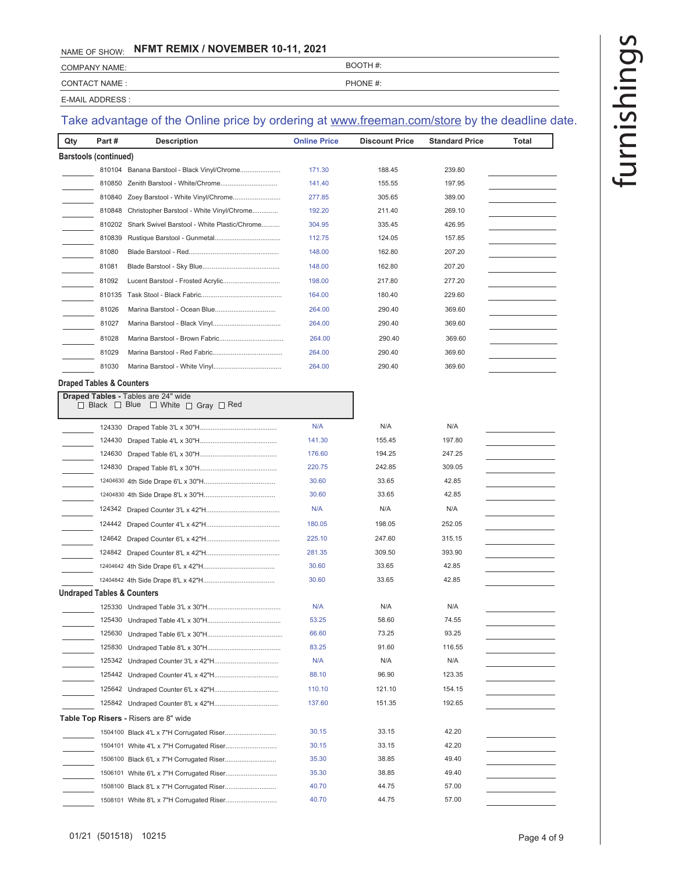COMPANY NAME: BOOTH #:

CONTACT NAME : PHONE #:

E-MAIL ADDRESS :

| Qty                                 | Part#  | <b>Description</b>                                           | <b>Online Price</b> | <b>Discount Price</b> | <b>Standard Price</b> | Total |
|-------------------------------------|--------|--------------------------------------------------------------|---------------------|-----------------------|-----------------------|-------|
| Barstools (continued)               |        |                                                              |                     |                       |                       |       |
|                                     |        | 810104 Banana Barstool - Black Vinyl/Chrome                  | 171.30              | 188.45                | 239.80                |       |
|                                     | 810850 |                                                              | 141.40              | 155.55                | 197.95                |       |
|                                     | 810840 | Zoey Barstool - White Vinyl/Chrome                           | 277.85              | 305.65                | 389.00                |       |
|                                     | 810848 | Christopher Barstool - White Vinyl/Chrome                    | 192.20              | 211.40                | 269.10                |       |
|                                     | 810202 | Shark Swivel Barstool - White Plastic/Chrome                 | 304.95              | 335.45                | 426.95                |       |
|                                     | 810839 |                                                              | 112.75              | 124.05                | 157.85                |       |
|                                     | 81080  |                                                              | 148.00              | 162.80                | 207.20                |       |
|                                     | 81081  |                                                              | 148.00              | 162.80                | 207.20                |       |
|                                     | 81092  | Lucent Barstool - Frosted Acrylic                            | 198.00              | 217.80                | 277.20                |       |
|                                     | 810135 |                                                              | 164.00              | 180.40                | 229.60                |       |
|                                     | 81026  |                                                              | 264.00              | 290.40                | 369.60                |       |
|                                     | 81027  |                                                              | 264.00              | 290.40                | 369.60                |       |
|                                     | 81028  |                                                              | 264.00              | 290.40                | 369.60                |       |
|                                     | 81029  |                                                              | 264.00              | 290.40                | 369.60                |       |
|                                     | 81030  |                                                              | 264.00              | 290.40                | 369.60                |       |
| <b>Draped Tables &amp; Counters</b> |        |                                                              |                     |                       |                       |       |
|                                     |        | <b>Draped Tables - Tables are 24" wide</b>                   |                     |                       |                       |       |
|                                     |        | $\Box$ Black $\Box$ Blue $\Box$ White $\Box$ Gray $\Box$ Red |                     |                       |                       |       |
|                                     | 124330 |                                                              | N/A                 | N/A                   | N/A                   |       |
|                                     | 124430 |                                                              | 141.30              | 155.45                | 197.80                |       |
|                                     | 124630 |                                                              | 176.60              | 194.25                | 247.25                |       |
|                                     | 124830 |                                                              | 220.75              | 242.85                | 309.05                |       |
|                                     |        |                                                              | 30.60               | 33.65                 | 42.85                 |       |
|                                     |        |                                                              | 30.60               | 33.65                 | 42.85                 |       |
|                                     |        |                                                              | N/A                 | N/A                   | N/A                   |       |
|                                     |        |                                                              | 180.05              | 198.05                | 252.05                |       |
|                                     |        |                                                              | 225.10              | 247.60                | 315.15                |       |
|                                     |        |                                                              | 281.35              | 309.50                | 393.90                |       |
|                                     |        |                                                              | 30.60               | 33.65                 | 42.85                 |       |
|                                     |        |                                                              | 30.60               | 33.65                 | 42.85                 |       |
|                                     |        | Undraped Tables & Counters                                   |                     |                       |                       |       |
|                                     |        |                                                              | N/A                 | N/A                   | N/A                   |       |
|                                     |        |                                                              | 53.25               | 58.60                 | 74.55                 |       |
|                                     | 125630 |                                                              | 66.60               | 73.25                 | 93.25                 |       |
|                                     | 125830 |                                                              | 83.25               | 91.60                 | 116.55                |       |
|                                     | 125342 |                                                              | N/A                 | N/A                   | N/A                   |       |
|                                     | 125442 |                                                              | 88.10               | 96.90                 | 123.35                |       |
|                                     |        |                                                              | 110.10              | 121.10                | 154.15                |       |
|                                     |        |                                                              | 137.60              | 151.35                | 192.65                |       |
|                                     |        | <b>Table Top Risers - Risers are 8" wide</b>                 |                     |                       |                       |       |
|                                     |        |                                                              | 30.15               | 33.15                 | 42.20                 |       |
|                                     |        |                                                              | 30.15               | 33.15                 | 42.20                 |       |
|                                     |        |                                                              | 35.30               | 38.85                 | 49.40                 |       |
|                                     |        |                                                              | 35.30               | 38.85                 | 49.40                 |       |
|                                     |        |                                                              | 40.70               | 44.75                 | 57.00                 |       |
|                                     |        |                                                              | 40.70               | 44.75                 | 57.00                 |       |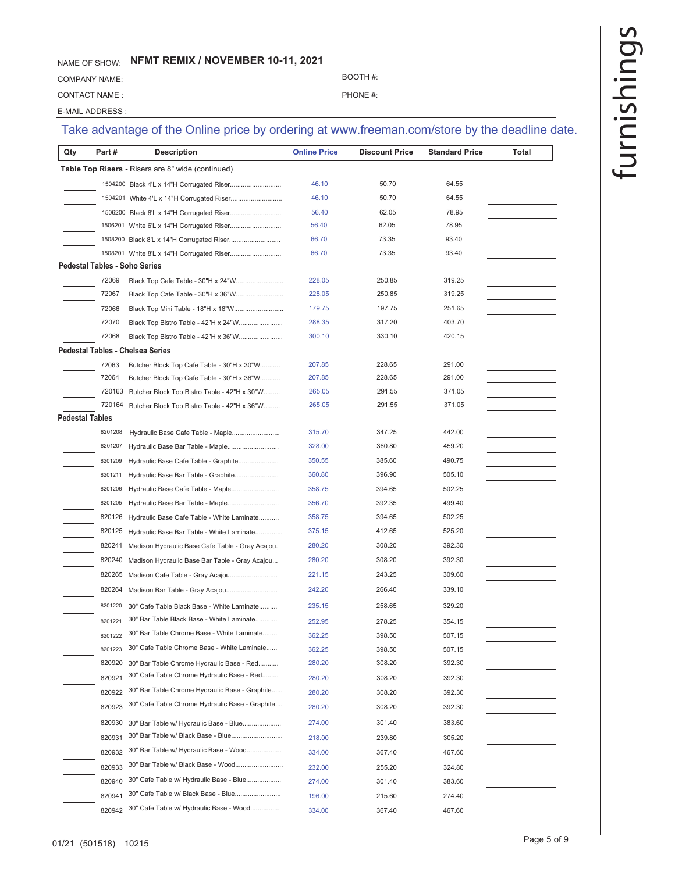| <b>COMPANY NAME:</b> | BOOTH #: |
|----------------------|----------|
| <b>CONTACT NAME:</b> | PHONE #: |

E-MAIL ADDRESS :

| Qty                    | Part#   | <b>Description</b>                                       | <b>Online Price</b> | <b>Discount Price</b> | <b>Standard Price</b> | Total |
|------------------------|---------|----------------------------------------------------------|---------------------|-----------------------|-----------------------|-------|
|                        |         | <b>Table Top Risers - Risers are 8" wide (continued)</b> |                     |                       |                       |       |
|                        |         |                                                          | 46.10               | 50.70                 | 64.55                 |       |
|                        |         |                                                          | 46.10               | 50.70                 | 64.55                 |       |
|                        |         | 1506200 Black 6'L x 14"H Corrugated Riser                | 56.40               | 62.05                 | 78.95                 |       |
|                        | 1506201 |                                                          | 56.40               | 62.05                 | 78.95                 |       |
|                        |         |                                                          | 66.70               | 73.35                 | 93.40                 |       |
|                        |         |                                                          | 66.70               | 73.35                 | 93.40                 |       |
|                        |         | <b>Pedestal Tables - Soho Series</b>                     |                     |                       |                       |       |
|                        | 72069   |                                                          | 228.05              | 250.85                | 319.25                |       |
|                        | 72067   |                                                          | 228.05              | 250.85                | 319.25                |       |
|                        | 72066   |                                                          | 179.75              | 197.75                | 251.65                |       |
|                        | 72070   | Black Top Bistro Table - 42"H x 24"W                     | 288.35              | 317.20                | 403.70                |       |
|                        | 72068   | Black Top Bistro Table - 42"H x 36"W                     | 300.10              | 330.10                | 420.15                |       |
|                        |         | Pedestal Tables - Chelsea Series                         |                     |                       |                       |       |
|                        | 72063   | Butcher Block Top Cafe Table - 30"H x 30"W               | 207.85              | 228.65                | 291.00                |       |
|                        | 72064   | Butcher Block Top Cafe Table - 30"H x 36"W               | 207.85              | 228.65                | 291.00                |       |
|                        | 720163  | Butcher Block Top Bistro Table - 42"H x 30"W             | 265.05              | 291.55                | 371.05                |       |
|                        | 720164  | Butcher Block Top Bistro Table - 42"H x 36"W             | 265.05              | 291.55                | 371.05                |       |
| <b>Pedestal Tables</b> |         |                                                          |                     |                       |                       |       |
|                        | 8201208 | Hydraulic Base Cafe Table - Maple                        | 315.70              | 347.25                | 442.00                |       |
|                        | 8201207 | Hydraulic Base Bar Table - Maple                         | 328.00              | 360.80                | 459.20                |       |
|                        | 8201209 | Hydraulic Base Cafe Table - Graphite                     | 350.55              | 385.60                | 490.75                |       |
|                        | 8201211 | Hydraulic Base Bar Table - Graphite                      | 360.80              | 396.90                | 505.10                |       |
|                        | 8201206 | Hydraulic Base Cafe Table - Maple                        | 358.75              | 394.65                | 502.25                |       |
|                        | 8201205 | Hydraulic Base Bar Table - Maple                         | 356.70              | 392.35                | 499.40                |       |
|                        | 820126  | Hydraulic Base Cafe Table - White Laminate               | 358.75              | 394.65                | 502.25                |       |
|                        | 820125  | Hydraulic Base Bar Table - White Laminate                | 375.15              | 412.65                | 525.20                |       |
|                        | 820241  | Madison Hydraulic Base Cafe Table - Gray Acajou.         | 280.20              | 308.20                | 392.30                |       |
|                        | 820240  | Madison Hydraulic Base Bar Table - Gray Acajou           | 280.20              | 308.20                | 392.30                |       |
|                        | 820265  | Madison Cafe Table - Gray Acajou                         | 221.15              | 243.25                | 309.60                |       |
|                        | 820264  |                                                          | 242.20              | 266.40                | 339.10                |       |
|                        |         |                                                          |                     |                       |                       |       |
|                        | 8201220 | 30" Cafe Table Black Base - White Laminate               | 235.15              | 258.65                | 329.20                |       |
|                        | 8201221 | 30" Bar Table Black Base - White Laminate                | 252.95              | 278.25                | 354.15                |       |
|                        | 8201222 | 30" Bar Table Chrome Base - White Laminate               | 362.25              | 398.50                | 507.15                |       |
|                        | 8201223 | 30" Cafe Table Chrome Base - White Laminate              | 362.25              | 398.50                | 507.15                |       |
|                        | 820920  | 30" Bar Table Chrome Hydraulic Base - Red                | 280.20              | 308.20                | 392.30                |       |
|                        | 820921  | 30" Cafe Table Chrome Hydraulic Base - Red               | 280.20              | 308.20                | 392.30                |       |
|                        | 820922  | 30" Bar Table Chrome Hydraulic Base - Graphite           | 280.20              | 308.20                | 392.30                |       |
|                        | 820923  | 30" Cafe Table Chrome Hydraulic Base - Graphite          | 280.20              | 308.20                | 392.30                |       |
|                        | 820930  | 30" Bar Table w/ Hydraulic Base - Blue                   | 274.00              | 301.40                | 383.60                |       |
|                        | 820931  | 30" Bar Table w/ Black Base - Blue                       | 218.00              | 239.80                | 305.20                |       |
|                        | 820932  | 30" Bar Table w/ Hydraulic Base - Wood                   | 334.00              | 367.40                | 467.60                |       |
|                        | 820933  | 30" Bar Table w/ Black Base - Wood                       | 232.00              | 255.20                | 324.80                |       |
|                        | 820940  | 30" Cafe Table w/ Hydraulic Base - Blue                  | 274.00              | 301.40                | 383.60                |       |
|                        | 820941  | 30" Cafe Table w/ Black Base - Blue                      | 196.00              | 215.60                | 274.40                |       |
|                        |         |                                                          |                     |                       |                       |       |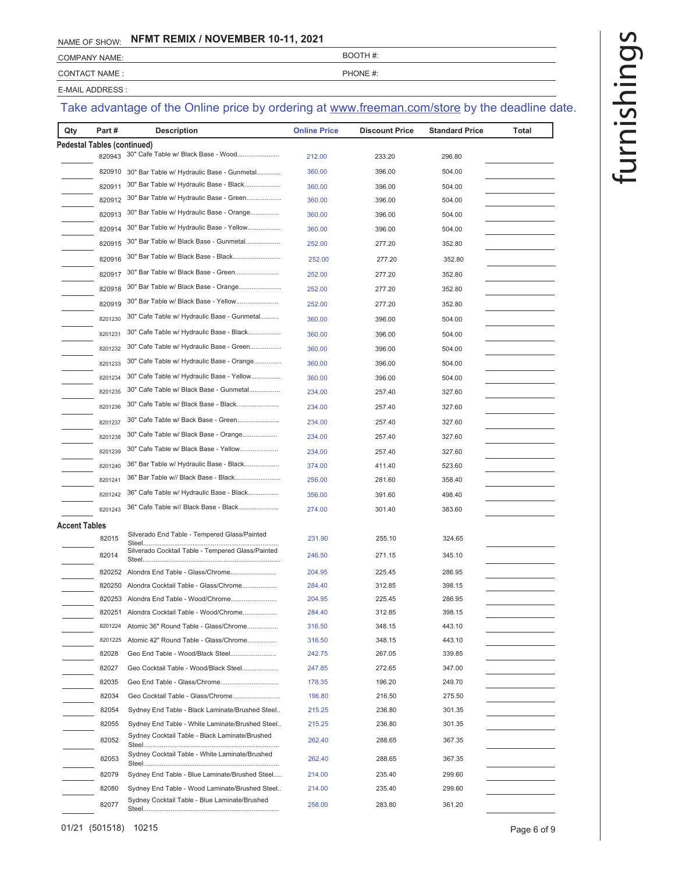| <b>COMPANY NAME:</b> | BOOTH #: |
|----------------------|----------|
| CONTACT NAME :       | PHONE #: |
| E-MAIL ADDRESS :     |          |

| Qty           | Part#                              | <b>Description</b>                                | <b>Online Price</b> | <b>Discount Price</b> | <b>Standard Price</b> | Total |
|---------------|------------------------------------|---------------------------------------------------|---------------------|-----------------------|-----------------------|-------|
|               | <b>Pedestal Tables (continued)</b> |                                                   |                     |                       |                       |       |
|               | 820943                             | 30" Cafe Table w/ Black Base - Wood               | 212.00              | 233.20                | 296.80                |       |
|               | 820910                             | 30" Bar Table w/ Hydraulic Base - Gunmetal        | 360.00              | 396.00                | 504.00                |       |
|               | 820911                             | 30" Bar Table w/ Hydraulic Base - Black           | 360.00              | 396.00                | 504.00                |       |
|               | 820912                             | 30" Bar Table w/ Hydraulic Base - Green           | 360.00              | 396.00                | 504.00                |       |
|               | 820913                             | 30" Bar Table w/ Hydraulic Base - Orange          | 360.00              | 396.00                | 504.00                |       |
|               | 820914                             | 30" Bar Table w/ Hydraulic Base - Yellow          | 360.00              | 396.00                | 504.00                |       |
|               | 820915                             | 30" Bar Table w/ Black Base - Gunmetal            | 252.00              | 277.20                | 352.80                |       |
|               | 820916                             | 30" Bar Table w/ Black Base - Black               | 252.00              | 277.20                | 352.80                |       |
|               | 820917                             | 30" Bar Table w/ Black Base - Green               | 252.00              | 277.20                | 352.80                |       |
|               | 820918                             | 30" Bar Table w/ Black Base - Orange              | 252.00              | 277.20                | 352.80                |       |
|               | 820919                             | 30" Bar Table w/ Black Base - Yellow              | 252.00              | 277.20                | 352.80                |       |
|               | 8201230                            | 30" Cafe Table w/ Hydraulic Base - Gunmetal       | 360.00              | 396.00                | 504.00                |       |
|               | 8201231                            | 30" Cafe Table w/ Hydraulic Base - Black          | 360.00              | 396.00                | 504.00                |       |
|               | 8201232                            | 30" Cafe Table w/ Hydraulic Base - Green          | 360.00              | 396.00                | 504.00                |       |
|               | 8201233                            | 30" Cafe Table w/ Hydraulic Base - Orange         | 360.00              | 396.00                | 504.00                |       |
|               | 8201234                            | 30" Cafe Table w/ Hydraulic Base - Yellow         | 360.00              | 396.00                | 504.00                |       |
|               | 8201235                            | 30" Cafe Table w/ Black Base - Gunmetal           | 234.00              | 257.40                | 327.60                |       |
|               | 8201236                            | 30" Cafe Table w/ Black Base - Black              | 234.00              | 257.40                | 327.60                |       |
|               | 8201237                            | 30" Cafe Table w/ Back Base - Green               | 234.00              | 257.40                | 327.60                |       |
|               | 8201238                            | 30" Cafe Table w/ Black Base - Orange             | 234.00              | 257.40                | 327.60                |       |
|               | 8201239                            | 30" Cafe Table w/ Black Base - Yellow             | 234.00              |                       |                       |       |
|               | 8201240                            | 36" Bar Table w/ Hydraulic Base - Black           | 374.00              | 257.40<br>411.40      | 327.60<br>523.60      |       |
|               | 8201241                            | 36" Bar Table w// Black Base - Black              | 256.00              | 281.60                | 358.40                |       |
|               | 8201242                            | 36" Cafe Table w/ Hydraulic Base - Black          | 356.00              | 391.60                | 498.40                |       |
|               | 8201243                            | 36" Cafe Table w// Black Base - Black             |                     |                       | 383.60                |       |
|               |                                    |                                                   | 274.00              | 301.40                |                       |       |
| Accent Tables | 82015                              | Silverado End Table - Tempered Glass/Painted      | 231.90              | 255.10                | 324.65                |       |
|               | 82014                              | Silverado Cocktail Table - Tempered Glass/Painted | 246.50              | 271.15                | 345.10                |       |
|               | 820252                             | Alondra End Table - Glass/Chrome                  | 204.95              | 225.45                | 286.95                |       |
|               | 820250                             | Alondra Cocktail Table - Glass/Chrome             | 284.40              | 312.85                | 398.15                |       |
|               |                                    | 820253 Alondra End Table - Wood/Chrome            | 204.95              | 225.45                | 286.95                |       |
|               | 820251                             | Alondra Cocktail Table - Wood/Chrome              | 284.40              | 312.85                | 398.15                |       |
|               | 8201224                            | Atomic 36" Round Table - Glass/Chrome             | 316.50              | 348.15                | 443.10                |       |
|               | 8201225                            | Atomic 42" Round Table - Glass/Chrome             | 316.50              | 348.15                | 443.10                |       |
|               | 82028                              | Geo End Table - Wood/Black Steel                  | 242.75              | 267.05                | 339.85                |       |
|               | 82027                              | Geo Cocktail Table - Wood/Black Steel             | 247.85              | 272.65                | 347.00                |       |
|               | 82035                              |                                                   | 178.35              | 196.20                | 249.70                |       |
|               | 82034                              | Geo Cocktail Table - Glass/Chrome                 | 196.80              | 216.50                | 275.50                |       |
|               | 82054                              | Sydney End Table - Black Laminate/Brushed Steel   | 215.25              | 236.80                | 301.35                |       |
|               | 82055                              | Sydney End Table - White Laminate/Brushed Steel   | 215.25              | 236.80                | 301.35                |       |
|               | 82052                              | Sydney Cocktail Table - Black Laminate/Brushed    | 262.40              | 288.65                | 367.35                |       |
|               | 82053                              | Sydney Cocktail Table - White Laminate/Brushed    | 262.40              | 288.65                | 367.35                |       |
|               | 82079                              | Sydney End Table - Blue Laminate/Brushed Steel    | 214.00              | 235.40                | 299.60                |       |
|               | 82080                              | Sydney End Table - Wood Laminate/Brushed Steel    | 214.00              | 235.40                | 299.60                |       |
|               | 82077                              | Sydney Cocktail Table - Blue Laminate/Brushed     | 258.00              | 283.80                | 361.20                |       |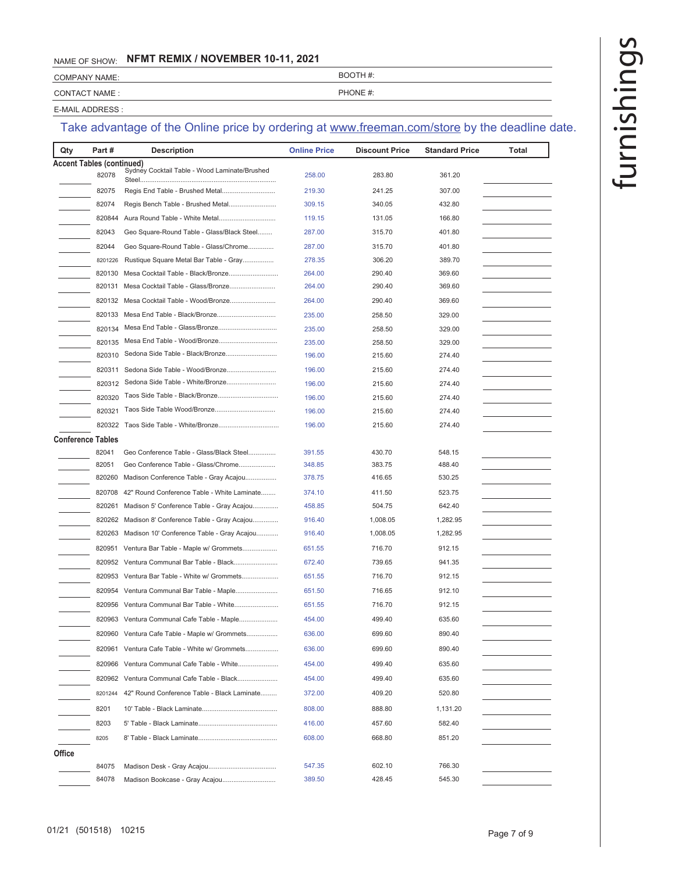COMPANY NAME: BOOTH #:

CONTACT NAME :  $PPHONE #$ :

E-MAIL ADDRESS :

| Part#<br>Qty                     | <b>Description</b>                               | <b>Online Price</b> | <b>Discount Price</b> | <b>Standard Price</b> | Total |
|----------------------------------|--------------------------------------------------|---------------------|-----------------------|-----------------------|-------|
| <b>Accent Tables (continued)</b> |                                                  |                     |                       |                       |       |
| 82078                            | Sydney Cocktail Table - Wood Laminate/Brushed    | 258.00              | 283.80                | 361.20                |       |
| 82075                            |                                                  | 219.30              | 241.25                | 307.00                |       |
| 82074                            | Regis Bench Table - Brushed Metal                | 309.15              | 340.05                | 432.80                |       |
| 820844                           | Aura Round Table - White Metal                   | 119.15              | 131.05                | 166.80                |       |
| 82043                            | Geo Square-Round Table - Glass/Black Steel       | 287.00              | 315.70                | 401.80                |       |
| 82044                            | Geo Square-Round Table - Glass/Chrome            | 287.00              | 315.70                | 401.80                |       |
| 8201226                          | Rustique Square Metal Bar Table - Gray           | 278.35              | 306.20                | 389.70                |       |
| 820130                           |                                                  | 264.00              | 290.40                | 369.60                |       |
| 820131                           | Mesa Cocktail Table - Glass/Bronze               | 264.00              | 290.40                | 369.60                |       |
| 820132                           | Mesa Cocktail Table - Wood/Bronze                | 264.00              | 290.40                | 369.60                |       |
| 820133                           |                                                  | 235.00              | 258.50                | 329.00                |       |
| 820134                           |                                                  | 235.00              | 258.50                | 329.00                |       |
| 820135                           |                                                  | 235.00              | 258.50                | 329.00                |       |
| 820310                           | Sedona Side Table - Black/Bronze                 | 196.00              | 215.60                | 274.40                |       |
| 820311                           |                                                  | 196.00              | 215.60                | 274.40                |       |
| 820312                           | Sedona Side Table - White/Bronze                 | 196.00              | 215.60                | 274.40                |       |
| 820320                           | Taos Side Table - Black/Bronze                   | 196.00              | 215.60                | 274.40                |       |
| 820321                           |                                                  | 196.00              | 215.60                | 274.40                |       |
| 820322                           |                                                  | 196.00              | 215.60                | 274.40                |       |
| <b>Conference Tables</b>         |                                                  |                     |                       |                       |       |
| 82041                            | Geo Conference Table - Glass/Black Steel         | 391.55              | 430.70                | 548.15                |       |
| 82051                            | Geo Conference Table - Glass/Chrome              | 348.85              | 383.75                | 488.40                |       |
| 820260                           | Madison Conference Table - Gray Acajou           | 378.75              | 416.65                | 530.25                |       |
| 820708                           | 42" Round Conference Table - White Laminate      | 374.10              | 411.50                | 523.75                |       |
| 820261                           | Madison 5' Conference Table - Gray Acajou        | 458.85              | 504.75                | 642.40                |       |
|                                  | 820262 Madison 8' Conference Table - Gray Acajou | 916.40              | 1,008.05              | 1,282.95              |       |
| 820263                           | Madison 10' Conference Table - Gray Acajou       | 916.40              | 1,008.05              | 1,282.95              |       |
| 820951                           | Ventura Bar Table - Maple w/ Grommets            | 651.55              | 716.70                | 912.15                |       |
|                                  | 820952 Ventura Communal Bar Table - Black        | 672.40              | 739.65                | 941.35                |       |
|                                  | 820953 Ventura Bar Table - White w/ Grommets     | 651.55              | 716.70                | 912.15                |       |
| 820954                           | Ventura Communal Bar Table - Maple               | 651.50              | 716.65                | 912.10                |       |
| 820956                           | Ventura Communal Bar Table - White               | 651.55              | 716.70                | 912.15                |       |
|                                  | 820963 Ventura Communal Cafe Table - Maple       | 454.00              | 499.40                | 635.60                |       |
| 820960                           | Ventura Cafe Table - Maple w/ Grommets           | 636.00              | 699.60                | 890.40                |       |
|                                  | 820961 Ventura Cafe Table - White w/ Grommets    | 636.00              | 699.60                | 890.40                |       |
| 820966                           | Ventura Communal Cafe Table - White              | 454.00              | 499.40                | 635.60                |       |
| 820962                           | Ventura Communal Cafe Table - Black              | 454.00              | 499.40                | 635.60                |       |
|                                  |                                                  |                     |                       |                       |       |
| 8201244                          | 42" Round Conference Table - Black Laminate      | 372.00              | 409.20                | 520.80                |       |
| 8201                             |                                                  | 808.00              | 888.80                | 1,131.20              |       |
| 8203                             |                                                  | 416.00              | 457.60                | 582.40                |       |
| 8205                             |                                                  | 608.00              | 668.80                | 851.20                |       |
| Office                           |                                                  |                     |                       |                       |       |
| 84075                            |                                                  | 547.35              | 602.10                | 766.30                |       |
| 84078                            | Madison Bookcase - Gray Acajou                   | 389.50              | 428.45                | 545.30                |       |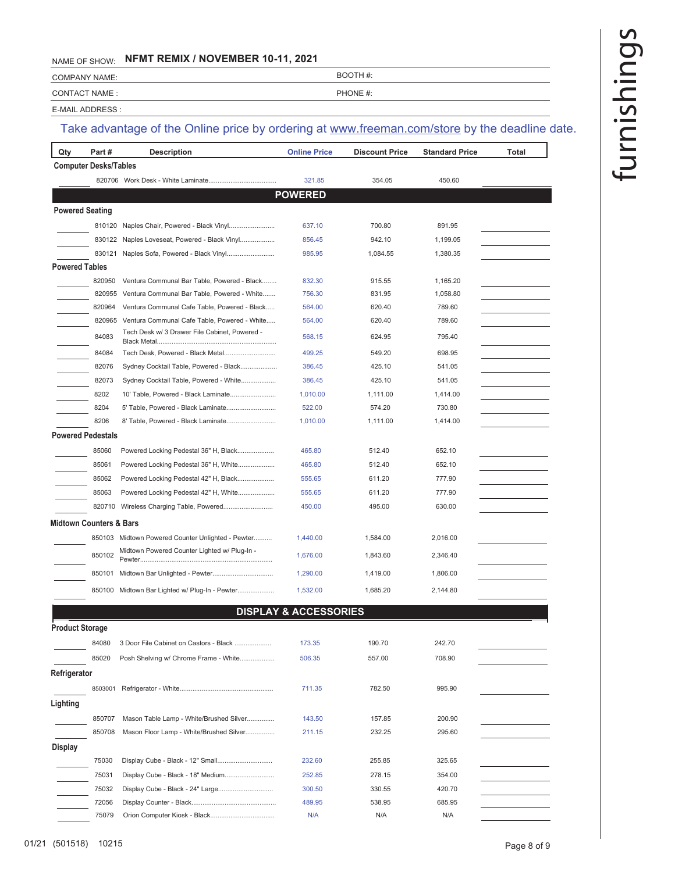COMPANY NAME: BOOTH #:

CONTACT NAME : PHONE #:

E-MAIL ADDRESS :

# Take advantage of the Online price by ordering at www.freeman.com/store by the deadline date.

| Qty                    | Part#                        | <b>Description</b>                                | <b>Online Price</b>              | <b>Discount Price</b> | <b>Standard Price</b> | <b>Total</b> |  |
|------------------------|------------------------------|---------------------------------------------------|----------------------------------|-----------------------|-----------------------|--------------|--|
|                        | <b>Computer Desks/Tables</b> |                                                   |                                  |                       |                       |              |  |
|                        |                              |                                                   | 321.85                           | 354.05                | 450.60                |              |  |
|                        |                              |                                                   | <b>POWERED</b>                   |                       |                       |              |  |
| <b>Powered Seating</b> |                              |                                                   |                                  |                       |                       |              |  |
|                        | 810120                       | Naples Chair, Powered - Black Vinyl               | 637.10                           | 700.80                | 891.95                |              |  |
|                        |                              | 830122 Naples Loveseat, Powered - Black Vinyl     | 856.45                           | 942.10                | 1,199.05              |              |  |
|                        | 830121                       | Naples Sofa, Powered - Black Vinyl                | 985.95                           | 1,084.55              | 1,380.35              |              |  |
| <b>Powered Tables</b>  |                              |                                                   |                                  |                       |                       |              |  |
|                        | 820950                       | Ventura Communal Bar Table, Powered - Black       | 832.30                           | 915.55                | 1,165.20              |              |  |
|                        | 820955                       | Ventura Communal Bar Table, Powered - White       | 756.30                           | 831.95                | 1,058.80              |              |  |
|                        | 820964                       | Ventura Communal Cafe Table, Powered - Black      | 564.00                           | 620.40                | 789.60                |              |  |
|                        | 820965                       | Ventura Communal Cafe Table, Powered - White      | 564.00                           | 620.40                | 789.60                |              |  |
|                        | 84083                        | Tech Desk w/ 3 Drawer File Cabinet, Powered -     | 568.15                           | 624.95                | 795.40                |              |  |
|                        | 84084                        | Tech Desk, Powered - Black Metal                  | 499.25                           | 549.20                | 698.95                |              |  |
|                        | 82076                        | Sydney Cocktail Table, Powered - Black            | 386.45                           | 425.10                | 541.05                |              |  |
|                        | 82073                        | Sydney Cocktail Table, Powered - White            | 386.45                           | 425.10                | 541.05                |              |  |
|                        | 8202                         | 10' Table, Powered - Black Laminate               | 1,010.00                         | 1,111.00              | 1,414.00              |              |  |
|                        | 8204                         | 5' Table, Powered - Black Laminate                | 522.00                           | 574.20                | 730.80                |              |  |
|                        | 8206                         | 8' Table, Powered - Black Laminate                | 1,010.00                         | 1,111.00              | 1,414.00              |              |  |
|                        | <b>Powered Pedestals</b>     |                                                   |                                  |                       |                       |              |  |
|                        | 85060                        | Powered Locking Pedestal 36" H, Black             | 465.80                           | 512.40                | 652.10                |              |  |
|                        | 85061                        | Powered Locking Pedestal 36" H, White             | 465.80                           | 512.40                | 652.10                |              |  |
|                        | 85062                        | Powered Locking Pedestal 42" H, Black             | 555.65                           | 611.20                | 777.90                |              |  |
|                        | 85063                        | Powered Locking Pedestal 42" H, White             | 555.65                           | 611.20                | 777.90                |              |  |
|                        |                              |                                                   | 450.00                           | 495.00                | 630.00                |              |  |
|                        | Midtown Counters & Bars      |                                                   |                                  |                       |                       |              |  |
|                        |                              | 850103 Midtown Powered Counter Unlighted - Pewter | 1,440.00                         | 1,584.00              | 2,016.00              |              |  |
|                        | 850102                       | Midtown Powered Counter Lighted w/ Plug-In -      | 1,676.00                         | 1,843.60              | 2,346.40              |              |  |
|                        | 850101                       |                                                   | 1,290.00                         | 1,419.00              | 1,806.00              |              |  |
|                        |                              | 850100 Midtown Bar Lighted w/ Plug-In - Pewter    | 1,532.00                         | 1,685.20              | 2,144.80              |              |  |
|                        |                              |                                                   | <b>DISPLAY &amp; ACCESSORIES</b> |                       |                       |              |  |
| <b>Product Storage</b> |                              |                                                   |                                  |                       |                       |              |  |
|                        | 84080                        | 3 Door File Cabinet on Castors - Black            | 173.35                           | 190.70                | 242.70                |              |  |
|                        | 85020                        | Posh Shelving w/ Chrome Frame - White             | 506.35                           | 557.00                | 708.90                |              |  |
| Refrigerator           |                              |                                                   |                                  |                       |                       |              |  |
|                        | 8503001                      |                                                   |                                  |                       | 995.90                |              |  |
|                        |                              |                                                   | 711.35                           | 782.50                |                       |              |  |
| Lighting               |                              |                                                   |                                  |                       |                       |              |  |
|                        | 850707                       | Mason Table Lamp - White/Brushed Silver           | 143.50                           | 157.85                | 200.90                |              |  |
|                        | 850708                       | Mason Floor Lamp - White/Brushed Silver           | 211.15                           | 232.25                | 295.60                |              |  |
| <b>Display</b>         |                              |                                                   |                                  |                       |                       |              |  |
|                        | 75030                        |                                                   | 232.60                           | 255.85                | 325.65                |              |  |
|                        | 75031                        | Display Cube - Black - 18" Medium                 | 252.85                           | 278.15                | 354.00                |              |  |
|                        | 75032                        |                                                   | 300.50                           | 330.55                | 420.70                |              |  |
|                        | 72056                        |                                                   | 489.95                           | 538.95                | 685.95                |              |  |
|                        | 75079                        |                                                   | N/A                              | N/A                   | N/A                   |              |  |

1